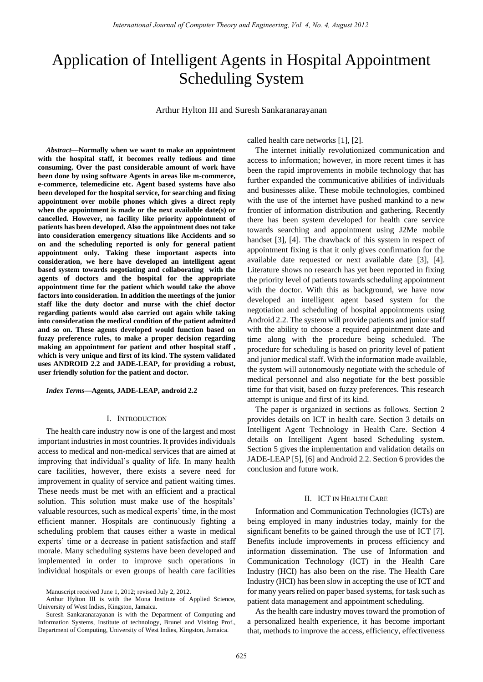# Application of Intelligent Agents in Hospital Appointment Scheduling System

Arthur Hylton III and Suresh Sankaranarayanan

*Abstract***—Normally when we want to make an appointment with the hospital staff, it becomes really tedious and time consuming. Over the past considerable amount of work have been done by using software Agents in areas like m-commerce, e-commerce, telemedicine etc. Agent based systems have also been developed for the hospital service, for searching and fixing appointment over mobile phones which gives a direct reply when the appointment is made or the next available date(s) or cancelled. However, no facility like priority appointment of patients has been developed. Also the appointment does not take into consideration emergency situations like Accidents and so on and the scheduling reported is only for general patient appointment only. Taking these important aspects into consideration, we here have developed an intelligent agent based system towards negotiating and collaborating with the agents of doctors and the hospital for the appropriate appointment time for the patient which would take the above factors into consideration. In addition the meetings of the junior staff like the duty doctor and nurse with the chief doctor regarding patients would also carried out again while taking into consideration the medical condition of the patient admitted and so on. These agents developed would function based on fuzzy preference rules, to make a proper decision regarding making an appointment for patient and other hospital staff , which is very unique and first of its kind. The system validated uses ANDROID 2.2 and JADE-LEAP, for providing a robust, user friendly solution for the patient and doctor.** 

#### *Index Terms***—Agents, JADE-LEAP, android 2.2**

#### I. INTRODUCTION

The health care industry now is one of the largest and most important industries in most countries. It provides individuals access to medical and non-medical services that are aimed at improving that individual"s quality of life. In many health care facilities, however, there exists a severe need for improvement in quality of service and patient waiting times. These needs must be met with an efficient and a practical solution. This solution must make use of the hospitals' valuable resources, such as medical experts" time, in the most efficient manner. Hospitals are continuously fighting a scheduling problem that causes either a waste in medical experts' time or a decrease in patient satisfaction and staff morale. Many scheduling systems have been developed and implemented in order to improve such operations in individual hospitals or even groups of health care facilities access to information; however, in more recent times it has been the rapid improvements in mobile technology that has further expanded the communicative abilities of individuals and businesses alike. These mobile technologies, combined with the use of the internet have pushed mankind to a new frontier of information distribution and gathering. Recently there has been system developed for health care service towards searching and appointment using J2Me mobile handset [3], [4]. The drawback of this system in respect of appointment fixing is that it only gives confirmation for the available date requested or next available date [3], [4]. Literature shows no research has yet been reported in fixing the priority level of patients towards scheduling appointment with the doctor. With this as background, we have now developed an intelligent agent based system for the negotiation and scheduling of hospital appointments using Android 2.2. The system will provide patients and junior staff with the ability to choose a required appointment date and time along with the procedure being scheduled. The procedure for scheduling is based on priority level of patient and junior medical staff. With the information made available, the system will autonomously negotiate with the schedule of

The internet initially revolutionized communication and

called health care networks [1], [2].

medical personnel and also negotiate for the best possible time for that visit, based on fuzzy preferences. This research attempt is unique and first of its kind. The paper is organized in sections as follows. Section 2 provides details on ICT in health care. Section 3 details on Intelligent Agent Technology in Health Care. Section 4

details on Intelligent Agent based Scheduling system. Section 5 gives the implementation and validation details on JADE-LEAP [5], [6] and Android 2.2. Section 6 provides the conclusion and future work.

## II. ICT IN HEALTH CARE

Information and Communication Technologies (ICTs) are being employed in many industries today, mainly for the significant benefits to be gained through the use of ICT [7]. Benefits include improvements in process efficiency and information dissemination. The use of Information and Communication Technology (ICT) in the Health Care Industry (HCI) has also been on the rise. The Health Care Industry (HCI) has been slow in accepting the use of ICT and for many years relied on paper based systems, for task such as patient data management and appointment scheduling.

As the health care industry moves toward the promotion of a personalized health experience, it has become important that, methods to improve the access, efficiency, effectiveness

Manuscript received June 1, 2012; revised July 2, 2012.

Arthur Hylton III is with the Mona Institute of Applied Science, University of West Indies, Kingston, Jamaica.

Suresh Sankaranarayanan is with the Department of Computing and Information Systems, Institute of technology, Brunei and Visiting Prof., Department of Computing, University of West Indies, Kingston, Jamaica.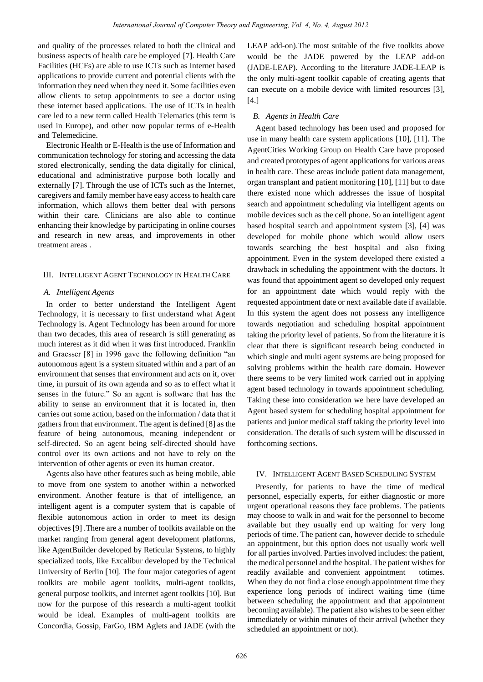and quality of the processes related to both the clinical and business aspects of health care be employed [7]. Health Care Facilities (HCFs) are able to use ICTs such as Internet based applications to provide current and potential clients with the information they need when they need it. Some facilities even allow clients to setup appointments to see a doctor using these internet based applications. The use of ICTs in health care led to a new term called Health Telematics (this term is used in Europe), and other now popular terms of e-Health and Telemedicine.

Electronic Health or E-Health is the use of Information and communication technology for storing and accessing the data stored electronically, sending the data digitally for clinical, educational and administrative purpose both locally and externally [7]. Through the use of ICTs such as the Internet, caregivers and family member have easy access to health care information, which allows them better deal with persons within their care. Clinicians are also able to continue enhancing their knowledge by participating in online courses and research in new areas, and improvements in other treatment areas .

## III. INTELLIGENT AGENT TECHNOLOGY IN HEALTH CARE

## *A. Intelligent Agents*

In order to better understand the Intelligent Agent Technology, it is necessary to first understand what Agent Technology is. Agent Technology has been around for more than two decades, this area of research is still generating as much interest as it did when it was first introduced. Franklin and Graesser [8] in 1996 gave the following definition "an autonomous agent is a system situated within and a part of an environment that senses that environment and acts on it, over time, in pursuit of its own agenda and so as to effect what it senses in the future." So an agent is software that has the ability to sense an environment that it is located in, then carries out some action, based on the information / data that it gathers from that environment. The agent is defined [8] as the feature of being autonomous, meaning independent or self-directed. So an agent being self-directed should have control over its own actions and not have to rely on the intervention of other agents or even its human creator.

Agents also have other features such as being mobile, able to move from one system to another within a networked environment. Another feature is that of intelligence, an intelligent agent is a computer system that is capable of flexible autonomous action in order to meet its design objectives [9] .There are a number of toolkits available on the market ranging from general agent development platforms, like AgentBuilder developed by Reticular Systems, to highly specialized tools, like Excalibur developed by the Technical University of Berlin [10]. The four major categories of agent toolkits are mobile agent toolkits, multi-agent toolkits, general purpose toolkits, and internet agent toolkits [10]. But now for the purpose of this research a multi-agent toolkit would be ideal. Examples of multi-agent toolkits are Concordia, Gossip, FarGo, IBM Aglets and JADE (with the LEAP add-on).The most suitable of the five toolkits above would be the JADE powered by the LEAP add-on (JADE-LEAP). According to the literature JADE-LEAP is the only multi-agent toolkit capable of creating agents that can execute on a mobile device with limited resources [3], [4.]

# *B. Agents in Health Care*

Agent based technology has been used and proposed for use in many health care system applications [10], [11]. The AgentCities Working Group on Health Care have proposed and created prototypes of agent applications for various areas in health care. These areas include patient data management, organ transplant and patient monitoring [10], [11] but to date there existed none which addresses the issue of hospital search and appointment scheduling via intelligent agents on mobile devices such as the cell phone. So an intelligent agent based hospital search and appointment system [3], [4] was developed for mobile phone which would allow users towards searching the best hospital and also fixing appointment. Even in the system developed there existed a drawback in scheduling the appointment with the doctors. It was found that appointment agent so developed only request for an appointment date which would reply with the requested appointment date or next available date if available. In this system the agent does not possess any intelligence towards negotiation and scheduling hospital appointment taking the priority level of patients. So from the literature it is clear that there is significant research being conducted in which single and multi agent systems are being proposed for solving problems within the health care domain. However there seems to be very limited work carried out in applying agent based technology in towards appointment scheduling. Taking these into consideration we here have developed an Agent based system for scheduling hospital appointment for patients and junior medical staff taking the priority level into consideration. The details of such system will be discussed in forthcoming sections.

## IV. INTELLIGENT AGENT BASED SCHEDULING SYSTEM

Presently, for patients to have the time of medical personnel, especially experts, for either diagnostic or more urgent operational reasons they face problems. The patients may choose to walk in and wait for the personnel to become available but they usually end up waiting for very long periods of time. The patient can, however decide to schedule an appointment, but this option does not usually work well for all parties involved. Parties involved includes: the patient, the medical personnel and the hospital. The patient wishes for readily available and convenient appointment totimes. When they do not find a close enough appointment time they experience long periods of indirect waiting time (time between scheduling the appointment and that appointment becoming available). The patient also wishes to be seen either immediately or within minutes of their arrival (whether they scheduled an appointment or not).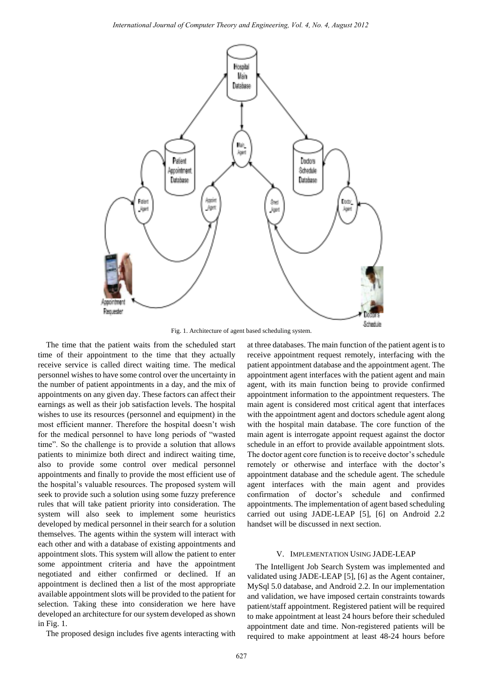

Fig. 1. Architecture of agent based scheduling system.

The time that the patient waits from the scheduled start time of their appointment to the time that they actually receive service is called direct waiting time. The medical personnel wishes to have some control over the uncertainty in the number of patient appointments in a day, and the mix of appointments on any given day. These factors can affect their earnings as well as their job satisfaction levels. The hospital wishes to use its resources (personnel and equipment) in the most efficient manner. Therefore the hospital doesn't wish for the medical personnel to have long periods of "wasted time". So the challenge is to provide a solution that allows patients to minimize both direct and indirect waiting time, also to provide some control over medical personnel appointments and finally to provide the most efficient use of the hospital"s valuable resources. The proposed system will seek to provide such a solution using some fuzzy preference rules that will take patient priority into consideration. The system will also seek to implement some heuristics developed by medical personnel in their search for a solution themselves. The agents within the system will interact with each other and with a database of existing appointments and appointment slots. This system will allow the patient to enter some appointment criteria and have the appointment negotiated and either confirmed or declined. If an appointment is declined then a list of the most appropriate available appointment slots will be provided to the patient for selection. Taking these into consideration we here have developed an architecture for our system developed as shown in Fig. 1.

The proposed design includes five agents interacting with

at three databases. The main function of the patient agent is to receive appointment request remotely, interfacing with the patient appointment database and the appointment agent. The appointment agent interfaces with the patient agent and main agent, with its main function being to provide confirmed appointment information to the appointment requesters. The main agent is considered most critical agent that interfaces with the appointment agent and doctors schedule agent along with the hospital main database. The core function of the main agent is interrogate appoint request against the doctor schedule in an effort to provide available appointment slots. The doctor agent core function is to receive doctor's schedule remotely or otherwise and interface with the doctor's appointment database and the schedule agent. The schedule agent interfaces with the main agent and provides confirmation of doctor"s schedule and confirmed appointments. The implementation of agent based scheduling carried out using JADE-LEAP [5], [6] on Android 2.2 handset will be discussed in next section.

# V. IMPLEMENTATION USING JADE-LEAP

The Intelligent Job Search System was implemented and validated using JADE-LEAP [5], [6] as the Agent container, MySql 5.0 database, and Android 2.2. In our implementation and validation, we have imposed certain constraints towards patient/staff appointment. Registered patient will be required to make appointment at least 24 hours before their scheduled appointment date and time. Non-registered patients will be required to make appointment at least 48-24 hours before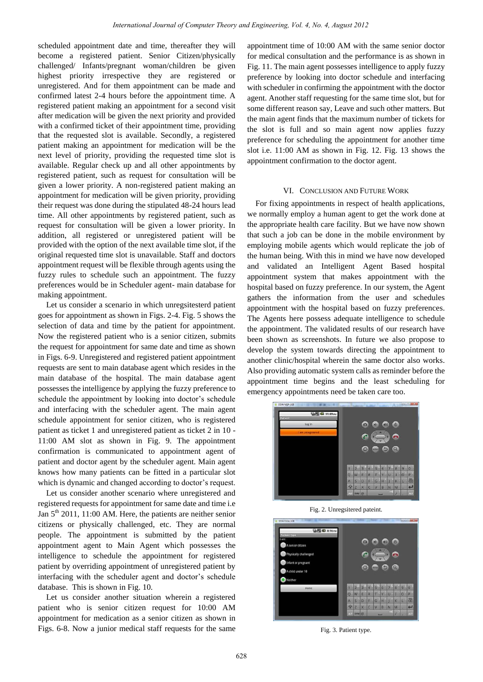scheduled appointment date and time, thereafter they will become a registered patient. Senior Citizen/physically challenged/ Infants/pregnant woman/children be given highest priority irrespective they are registered or unregistered. And for them appointment can be made and confirmed latest 2-4 hours before the appointment time. A registered patient making an appointment for a second visit after medication will be given the next priority and provided with a confirmed ticket of their appointment time, providing that the requested slot is available. Secondly, a registered patient making an appointment for medication will be the next level of priority, providing the requested time slot is available. Regular check up and all other appointments by registered patient, such as request for consultation will be given a lower priority. A non-registered patient making an appointment for medication will be given priority, providing their request was done during the stipulated 48-24 hours lead time. All other appointments by registered patient, such as request for consultation will be given a lower priority. In addition, all registered or unregistered patient will be provided with the option of the next available time slot, if the original requested time slot is unavailable. Staff and doctors appointment request will be flexible through agents using the fuzzy rules to schedule such an appointment. The fuzzy preferences would be in Scheduler agent- main database for making appointment.

Let us consider a scenario in which unregsitesterd patient goes for appointment as shown in Figs. 2-4. Fig. 5 shows the selection of data and time by the patient for appointment. Now the registered patient who is a senior citizen, submits the request for appointment for same date and time as shown in Figs. 6-9. Unregistered and registered patient appointment requests are sent to main database agent which resides in the main database of the hospital. The main database agent possesses the intelligence by applying the fuzzy preference to schedule the appointment by looking into doctor's schedule and interfacing with the scheduler agent. The main agent schedule appointment for senior citizen, who is registered patient as ticket 1 and unregistered patient as ticket 2 in 10 - 11:00 AM slot as shown in Fig. 9. The appointment confirmation is communicated to appointment agent of patient and doctor agent by the scheduler agent. Main agent knows how many patients can be fitted in a particular slot which is dynamic and changed according to doctor's request.

Let us consider another scenario where unregistered and registered requests for appointment for same date and time i.e Jan  $5<sup>th</sup>$  2011, 11:00 AM. Here, the patients are neither senior citizens or physically challenged, etc. They are normal people. The appointment is submitted by the patient appointment agent to Main Agent which possesses the intelligence to schedule the appointment for registered patient by overriding appointment of unregistered patient by interfacing with the scheduler agent and doctor's schedule database. This is shown in Fig. 10.

Let us consider another situation wherein a registered patient who is senior citizen request for 10:00 AM appointment for medication as a senior citizen as shown in Figs. 6-8. Now a junior medical staff requests for the same appointment time of 10:00 AM with the same senior doctor for medical consultation and the performance is as shown in Fig. 11. The main agent possesses intelligence to apply fuzzy preference by looking into doctor schedule and interfacing with scheduler in confirming the appointment with the doctor agent. Another staff requesting for the same time slot, but for some different reason say, Leave and such other matters. But the main agent finds that the maximum number of tickets for the slot is full and so main agent now applies fuzzy preference for scheduling the appointment for another time slot i.e. 11:00 AM as shown in Fig. 12. Fig. 13 shows the appointment confirmation to the doctor agent.

## VI. CONCLUSION AND FUTURE WORK

For fixing appointments in respect of health applications, we normally employ a human agent to get the work done at the appropriate health care facility. But we have now shown that such a job can be done in the mobile environment by employing mobile agents which would replicate the job of the human being. With this in mind we have now developed and validated an Intelligent Agent Based hospital appointment system that makes appointment with the hospital based on fuzzy preference. In our system, the Agent gathers the information from the user and schedules appointment with the hospital based on fuzzy preferences. The Agents here possess adequate intelligence to schedule the appointment. The validated results of our research have been shown as screenshots. In future we also propose to develop the system towards directing the appointment to another clinic/hospital wherein the same doctor also works. Also providing automatic system calls as reminder before the appointment time begins and the least scheduling for emergency appointments need be taken care too.



Fig. 2. Unregsitered pateint.



Fig. 3. Patient type.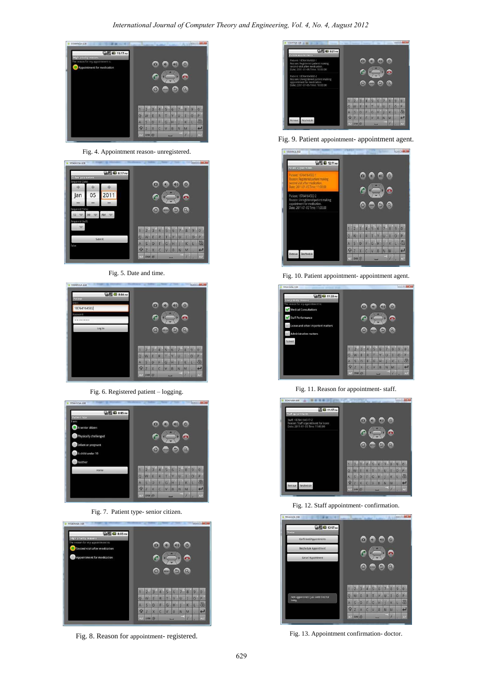

Fig. 4. Appointment reason- unregistered.



Fig. 5. Date and time.



Fig. 6. Registered patient – logging.



Fig. 7. Patient type- senior citizen.



Fig. 8. Reason for appointment- registered.



Fig. 9. Patient appointment- appointment agent.



Fig. 10. Patient appointment- appointment agent.

| <b>输图 (3 11:33 PM)</b>            |           |                |                         |              |      |    |                |                |         |                    |
|-----------------------------------|-----------|----------------|-------------------------|--------------|------|----|----------------|----------------|---------|--------------------|
| Low priority reasons              |           |                |                         |              |      |    |                |                |         |                    |
| The reason for my appointment is: |           |                | û                       |              |      |    |                | $\omega$       |         |                    |
| <b>Medical Consultations</b>      |           |                |                         |              |      |    |                |                |         |                    |
| <b>Staff Performance</b>          |           |                |                         |              |      |    |                |                |         |                    |
|                                   |           |                |                         |              |      |    |                |                |         |                    |
| Leave and other important matters |           |                |                         |              |      |    |                |                |         |                    |
|                                   |           |                | $\overline{\mathbb{C}}$ |              | MENU | b  |                | $\alpha$       |         |                    |
|                                   |           |                |                         |              |      |    |                |                |         |                    |
| Administrative matters            |           |                |                         |              |      |    |                |                |         |                    |
| Submit                            |           |                |                         |              |      |    |                |                |         |                    |
|                                   |           |                | 3                       |              | 5    | 6  | $\overline{7}$ | $\overline{8}$ | 9       |                    |
|                                   | $\circ$   | W              | E                       | R            | т    | Ÿ  | ΰ              | I              | $\circ$ |                    |
|                                   | A         | s              | D                       | F            | G    | łн |                | $\kappa$       | R       | $\bf{0}$<br>P<br>昌 |
|                                   | $\hat{P}$ | $\overline{z}$ | $\times$                | $\mathsf{C}$ | V    | B  | N              | M              | ı       | ب                  |

Fig. 11. Reason for appointment- staff.



Fig. 12. Staff appointment- confirmation.



Fig. 13. Appointment confirmation- doctor.